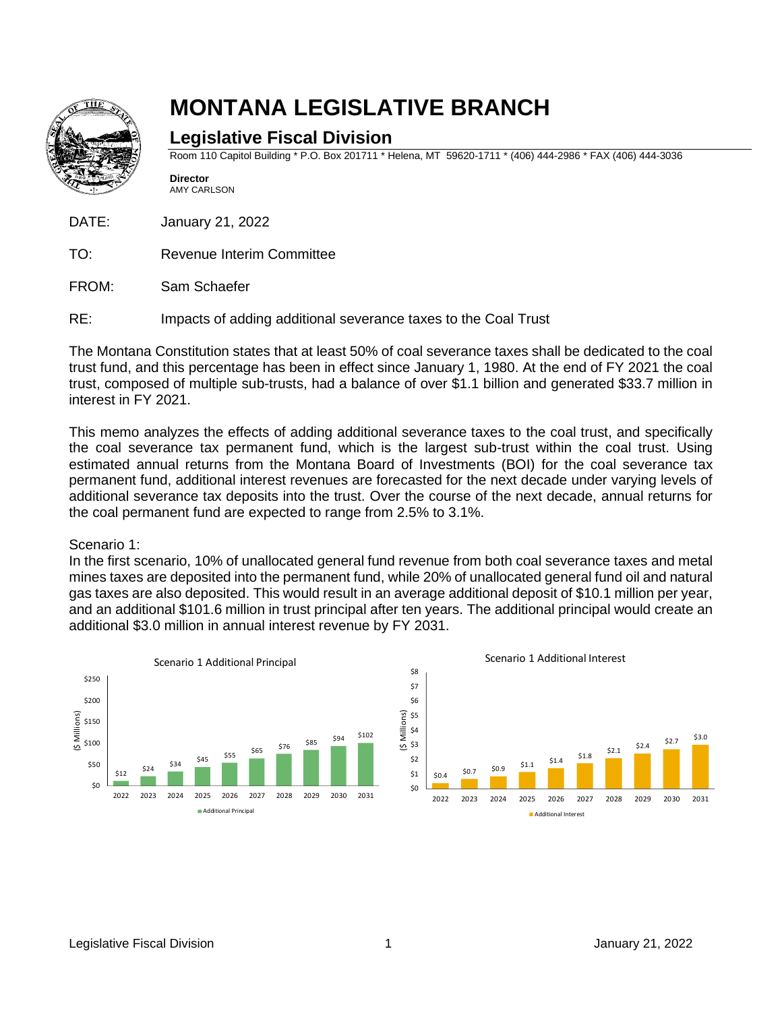

# **MONTANA LEGISLATIVE BRANCH**

# **Legislative Fiscal Division**

Room 110 Capitol Building \* P.O. Box 201711 \* Helena, MT 59620-1711 \* (406) 444-2986 \* FAX (406) 444-3036

**Director** AMY CARLSON

DATE: January 21, 2022

- TO: Revenue Interim Committee
- FROM: Sam Schaefer
- RE: Impacts of adding additional severance taxes to the Coal Trust

The Montana Constitution states that at least 50% of coal severance taxes shall be dedicated to the coal trust fund, and this percentage has been in effect since January 1, 1980. At the end of FY 2021 the coal trust, composed of multiple sub-trusts, had a balance of over \$1.1 billion and generated \$33.7 million in interest in FY 2021.

This memo analyzes the effects of adding additional severance taxes to the coal trust, and specifically the coal severance tax permanent fund, which is the largest sub-trust within the coal trust. Using estimated annual returns from the Montana Board of Investments (BOI) for the coal severance tax permanent fund, additional interest revenues are forecasted for the next decade under varying levels of additional severance tax deposits into the trust. Over the course of the next decade, annual returns for the coal permanent fund are expected to range from 2.5% to 3.1%.

## Scenario 1:

In the first scenario, 10% of unallocated general fund revenue from both coal severance taxes and metal mines taxes are deposited into the permanent fund, while 20% of unallocated general fund oil and natural gas taxes are also deposited. This would result in an average additional deposit of \$10.1 million per year, and an additional \$101.6 million in trust principal after ten years. The additional principal would create an additional \$3.0 million in annual interest revenue by FY 2031.